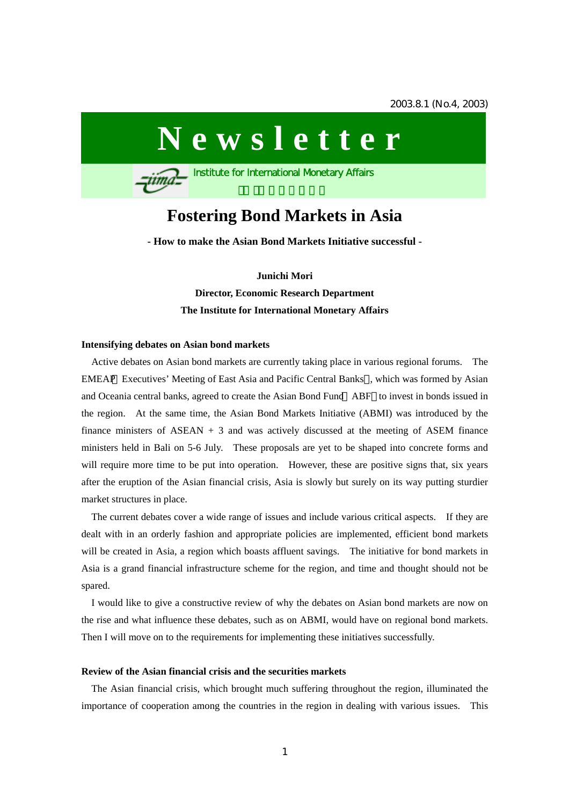# **Newsletter**

**Institute for International Monetary Affairs** 

# **Fostering Bond Markets in Asia**

**- How to make the Asian Bond Markets Initiative successful -** 

**Junichi Mori Director, Economic Research Department The Institute for International Monetary Affairs** 

#### **Intensifying debates on Asian bond markets**

qima

Active debates on Asian bond markets are currently taking place in various regional forums. The EMEAP Executives' Meeting of East Asia and Pacific Central Banks , which was formed by Asian and Oceania central banks, agreed to create the Asian Bond Fund ABF to invest in bonds issued in the region. At the same time, the Asian Bond Markets Initiative (ABMI) was introduced by the finance ministers of  $ASEAN + 3$  and was actively discussed at the meeting of ASEM finance ministers held in Bali on 5-6 July. These proposals are yet to be shaped into concrete forms and will require more time to be put into operation. However, these are positive signs that, six years after the eruption of the Asian financial crisis, Asia is slowly but surely on its way putting sturdier market structures in place.

The current debates cover a wide range of issues and include various critical aspects. If they are dealt with in an orderly fashion and appropriate policies are implemented, efficient bond markets will be created in Asia, a region which boasts affluent savings. The initiative for bond markets in Asia is a grand financial infrastructure scheme for the region, and time and thought should not be spared.

I would like to give a constructive review of why the debates on Asian bond markets are now on the rise and what influence these debates, such as on ABMI, would have on regional bond markets. Then I will move on to the requirements for implementing these initiatives successfully.

#### **Review of the Asian financial crisis and the securities markets**

The Asian financial crisis, which brought much suffering throughout the region, illuminated the importance of cooperation among the countries in the region in dealing with various issues. This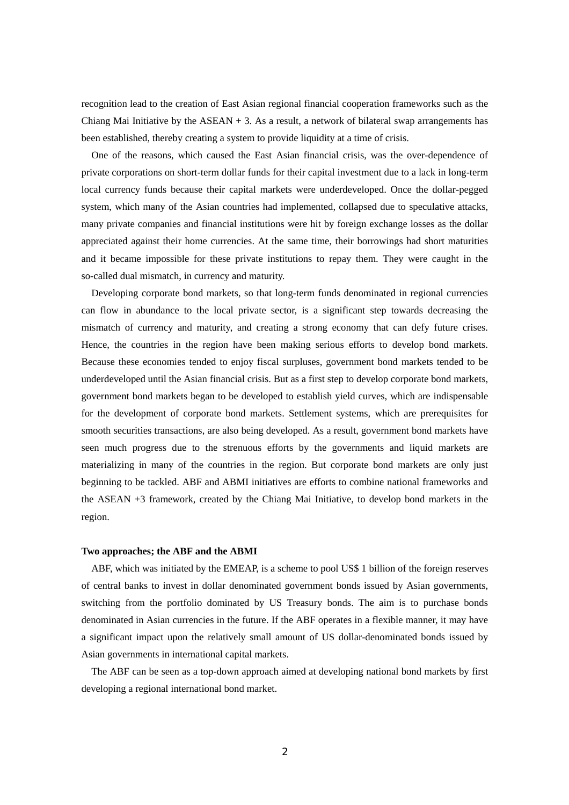recognition lead to the creation of East Asian regional financial cooperation frameworks such as the Chiang Mai Initiative by the  $ASEAN + 3$ . As a result, a network of bilateral swap arrangements has been established, thereby creating a system to provide liquidity at a time of crisis.

One of the reasons, which caused the East Asian financial crisis, was the over-dependence of private corporations on short-term dollar funds for their capital investment due to a lack in long-term local currency funds because their capital markets were underdeveloped. Once the dollar-pegged system, which many of the Asian countries had implemented, collapsed due to speculative attacks, many private companies and financial institutions were hit by foreign exchange losses as the dollar appreciated against their home currencies. At the same time, their borrowings had short maturities and it became impossible for these private institutions to repay them. They were caught in the so-called dual mismatch, in currency and maturity.

Developing corporate bond markets, so that long-term funds denominated in regional currencies can flow in abundance to the local private sector, is a significant step towards decreasing the mismatch of currency and maturity, and creating a strong economy that can defy future crises. Hence, the countries in the region have been making serious efforts to develop bond markets. Because these economies tended to enjoy fiscal surpluses, government bond markets tended to be underdeveloped until the Asian financial crisis. But as a first step to develop corporate bond markets, government bond markets began to be developed to establish yield curves, which are indispensable for the development of corporate bond markets. Settlement systems, which are prerequisites for smooth securities transactions, are also being developed. As a result, government bond markets have seen much progress due to the strenuous efforts by the governments and liquid markets are materializing in many of the countries in the region. But corporate bond markets are only just beginning to be tackled. ABF and ABMI initiatives are efforts to combine national frameworks and the ASEAN +3 framework, created by the Chiang Mai Initiative, to develop bond markets in the region.

# **Two approaches; the ABF and the ABMI**

ABF, which was initiated by the EMEAP, is a scheme to pool US\$ 1 billion of the foreign reserves of central banks to invest in dollar denominated government bonds issued by Asian governments, switching from the portfolio dominated by US Treasury bonds. The aim is to purchase bonds denominated in Asian currencies in the future. If the ABF operates in a flexible manner, it may have a significant impact upon the relatively small amount of US dollar-denominated bonds issued by Asian governments in international capital markets.

 The ABF can be seen as a top-down approach aimed at developing national bond markets by first developing a regional international bond market.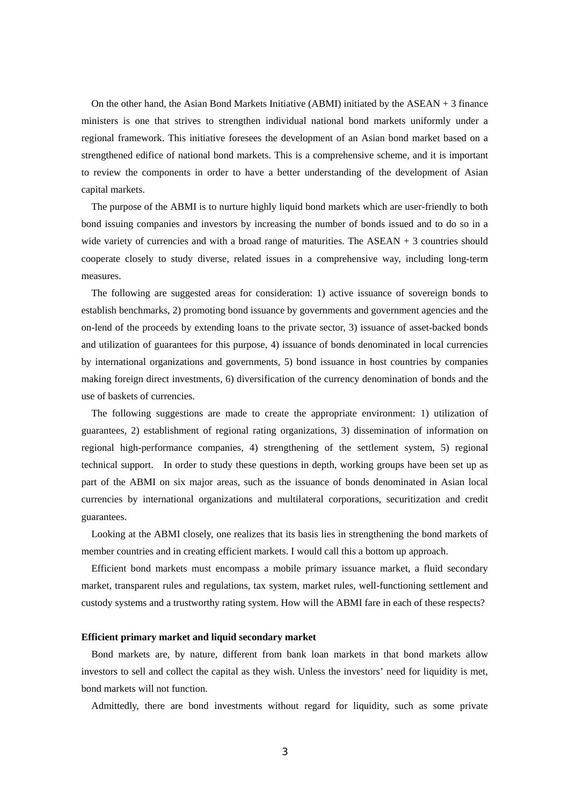On the other hand, the Asian Bond Markets Initiative (ABMI) initiated by the  $ASEAN + 3$  finance ministers is one that strives to strengthen individual national bond markets uniformly under a regional framework. This initiative foresees the development of an Asian bond market based on a strengthened edifice of national bond markets. This is a comprehensive scheme, and it is important to review the components in order to have a better understanding of the development of Asian capital markets.

The purpose of the ABMI is to nurture highly liquid bond markets which are user-friendly to both bond issuing companies and investors by increasing the number of bonds issued and to do so in a wide variety of currencies and with a broad range of maturities. The  $ASEAN + 3$  countries should cooperate closely to study diverse, related issues in a comprehensive way, including long-term measures.

The following are suggested areas for consideration: 1) active issuance of sovereign bonds to establish benchmarks, 2) promoting bond issuance by governments and government agencies and the on-lend of the proceeds by extending loans to the private sector, 3) issuance of asset-backed bonds and utilization of guarantees for this purpose, 4) issuance of bonds denominated in local currencies by international organizations and governments, 5) bond issuance in host countries by companies making foreign direct investments, 6) diversification of the currency denomination of bonds and the use of baskets of currencies.

The following suggestions are made to create the appropriate environment: 1) utilization of guarantees, 2) establishment of regional rating organizations, 3) dissemination of information on regional high-performance companies, 4) strengthening of the settlement system, 5) regional technical support. In order to study these questions in depth, working groups have been set up as part of the ABMI on six major areas, such as the issuance of bonds denominated in Asian local currencies by international organizations and multilateral corporations, securitization and credit guarantees.

Looking at the ABMI closely, one realizes that its basis lies in strengthening the bond markets of member countries and in creating efficient markets. I would call this a bottom up approach.

Efficient bond markets must encompass a mobile primary issuance market, a fluid secondary market, transparent rules and regulations, tax system, market rules, well-functioning settlement and custody systems and a trustworthy rating system. How will the ABMI fare in each of these respects?

#### **Efficient primary market and liquid secondary market**

Bond markets are, by nature, different from bank loan markets in that bond markets allow investors to sell and collect the capital as they wish. Unless the investors' need for liquidity is met, bond markets will not function.

Admittedly, there are bond investments without regard for liquidity, such as some private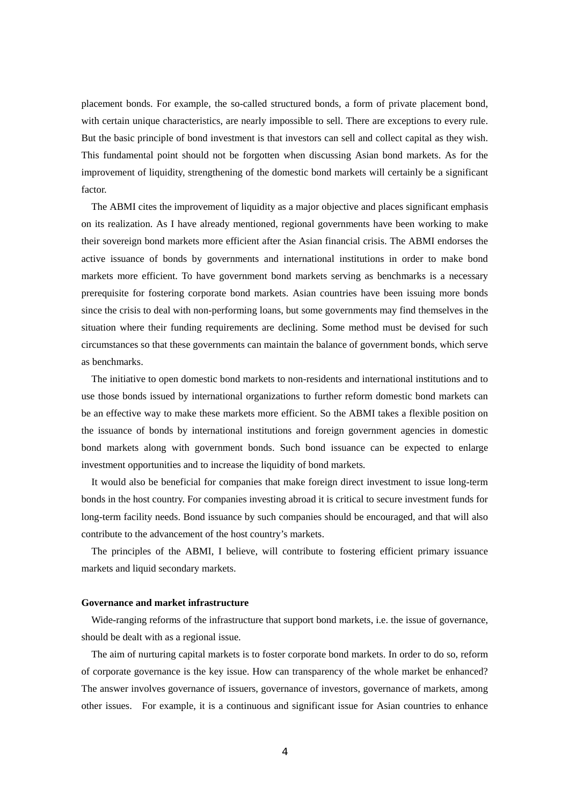placement bonds. For example, the so-called structured bonds, a form of private placement bond, with certain unique characteristics, are nearly impossible to sell. There are exceptions to every rule. But the basic principle of bond investment is that investors can sell and collect capital as they wish. This fundamental point should not be forgotten when discussing Asian bond markets. As for the improvement of liquidity, strengthening of the domestic bond markets will certainly be a significant factor.

The ABMI cites the improvement of liquidity as a major objective and places significant emphasis on its realization. As I have already mentioned, regional governments have been working to make their sovereign bond markets more efficient after the Asian financial crisis. The ABMI endorses the active issuance of bonds by governments and international institutions in order to make bond markets more efficient. To have government bond markets serving as benchmarks is a necessary prerequisite for fostering corporate bond markets. Asian countries have been issuing more bonds since the crisis to deal with non-performing loans, but some governments may find themselves in the situation where their funding requirements are declining. Some method must be devised for such circumstances so that these governments can maintain the balance of government bonds, which serve as benchmarks.

The initiative to open domestic bond markets to non-residents and international institutions and to use those bonds issued by international organizations to further reform domestic bond markets can be an effective way to make these markets more efficient. So the ABMI takes a flexible position on the issuance of bonds by international institutions and foreign government agencies in domestic bond markets along with government bonds. Such bond issuance can be expected to enlarge investment opportunities and to increase the liquidity of bond markets.

It would also be beneficial for companies that make foreign direct investment to issue long-term bonds in the host country. For companies investing abroad it is critical to secure investment funds for long-term facility needs. Bond issuance by such companies should be encouraged, and that will also contribute to the advancement of the host country's markets.

The principles of the ABMI, I believe, will contribute to fostering efficient primary issuance markets and liquid secondary markets.

## **Governance and market infrastructure**

Wide-ranging reforms of the infrastructure that support bond markets, i.e. the issue of governance, should be dealt with as a regional issue.

The aim of nurturing capital markets is to foster corporate bond markets. In order to do so, reform of corporate governance is the key issue. How can transparency of the whole market be enhanced? The answer involves governance of issuers, governance of investors, governance of markets, among other issues. For example, it is a continuous and significant issue for Asian countries to enhance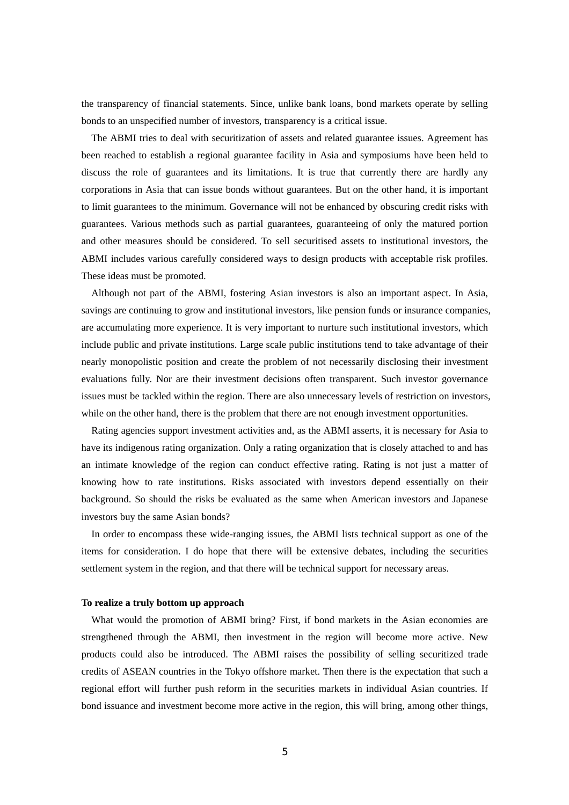the transparency of financial statements. Since, unlike bank loans, bond markets operate by selling bonds to an unspecified number of investors, transparency is a critical issue.

The ABMI tries to deal with securitization of assets and related guarantee issues. Agreement has been reached to establish a regional guarantee facility in Asia and symposiums have been held to discuss the role of guarantees and its limitations. It is true that currently there are hardly any corporations in Asia that can issue bonds without guarantees. But on the other hand, it is important to limit guarantees to the minimum. Governance will not be enhanced by obscuring credit risks with guarantees. Various methods such as partial guarantees, guaranteeing of only the matured portion and other measures should be considered. To sell securitised assets to institutional investors, the ABMI includes various carefully considered ways to design products with acceptable risk profiles. These ideas must be promoted.

Although not part of the ABMI, fostering Asian investors is also an important aspect. In Asia, savings are continuing to grow and institutional investors, like pension funds or insurance companies, are accumulating more experience. It is very important to nurture such institutional investors, which include public and private institutions. Large scale public institutions tend to take advantage of their nearly monopolistic position and create the problem of not necessarily disclosing their investment evaluations fully. Nor are their investment decisions often transparent. Such investor governance issues must be tackled within the region. There are also unnecessary levels of restriction on investors, while on the other hand, there is the problem that there are not enough investment opportunities.

Rating agencies support investment activities and, as the ABMI asserts, it is necessary for Asia to have its indigenous rating organization. Only a rating organization that is closely attached to and has an intimate knowledge of the region can conduct effective rating. Rating is not just a matter of knowing how to rate institutions. Risks associated with investors depend essentially on their background. So should the risks be evaluated as the same when American investors and Japanese investors buy the same Asian bonds?

In order to encompass these wide-ranging issues, the ABMI lists technical support as one of the items for consideration. I do hope that there will be extensive debates, including the securities settlement system in the region, and that there will be technical support for necessary areas.

## **To realize a truly bottom up approach**

What would the promotion of ABMI bring? First, if bond markets in the Asian economies are strengthened through the ABMI, then investment in the region will become more active. New products could also be introduced. The ABMI raises the possibility of selling securitized trade credits of ASEAN countries in the Tokyo offshore market. Then there is the expectation that such a regional effort will further push reform in the securities markets in individual Asian countries. If bond issuance and investment become more active in the region, this will bring, among other things,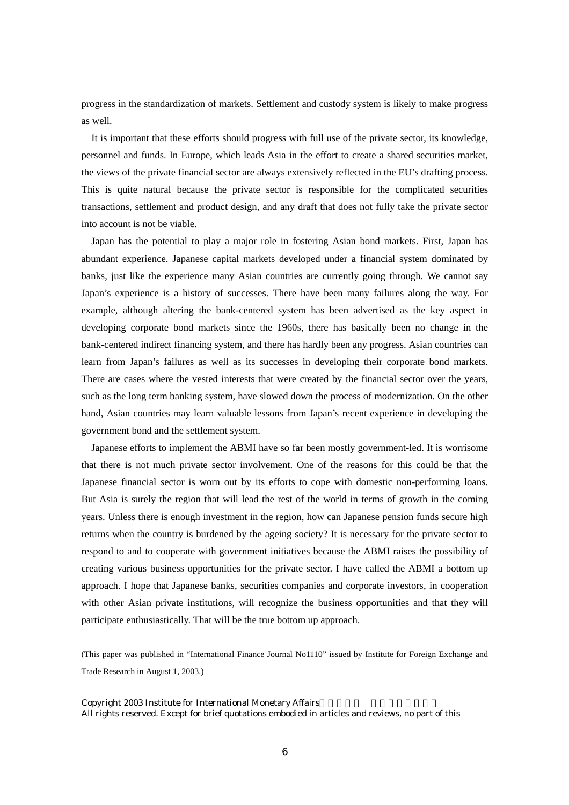progress in the standardization of markets. Settlement and custody system is likely to make progress as well.

It is important that these efforts should progress with full use of the private sector, its knowledge, personnel and funds. In Europe, which leads Asia in the effort to create a shared securities market, the views of the private financial sector are always extensively reflected in the EU's drafting process. This is quite natural because the private sector is responsible for the complicated securities transactions, settlement and product design, and any draft that does not fully take the private sector into account is not be viable.

Japan has the potential to play a major role in fostering Asian bond markets. First, Japan has abundant experience. Japanese capital markets developed under a financial system dominated by banks, just like the experience many Asian countries are currently going through. We cannot say Japan's experience is a history of successes. There have been many failures along the way. For example, although altering the bank-centered system has been advertised as the key aspect in developing corporate bond markets since the 1960s, there has basically been no change in the bank-centered indirect financing system, and there has hardly been any progress. Asian countries can learn from Japan's failures as well as its successes in developing their corporate bond markets. There are cases where the vested interests that were created by the financial sector over the years, such as the long term banking system, have slowed down the process of modernization. On the other hand, Asian countries may learn valuable lessons from Japan's recent experience in developing the government bond and the settlement system.

Japanese efforts to implement the ABMI have so far been mostly government-led. It is worrisome that there is not much private sector involvement. One of the reasons for this could be that the Japanese financial sector is worn out by its efforts to cope with domestic non-performing loans. But Asia is surely the region that will lead the rest of the world in terms of growth in the coming years. Unless there is enough investment in the region, how can Japanese pension funds secure high returns when the country is burdened by the ageing society? It is necessary for the private sector to respond to and to cooperate with government initiatives because the ABMI raises the possibility of creating various business opportunities for the private sector. I have called the ABMI a bottom up approach. I hope that Japanese banks, securities companies and corporate investors, in cooperation with other Asian private institutions, will recognize the business opportunities and that they will participate enthusiastically. That will be the true bottom up approach.

(This paper was published in "International Finance Journal No1110" issued by Institute for Foreign Exchange and Trade Research in August 1, 2003.)

Copyright 2003 Institute for International Monetary Affairs All rights reserved. Except for brief quotations embodied in articles and reviews, no part of this